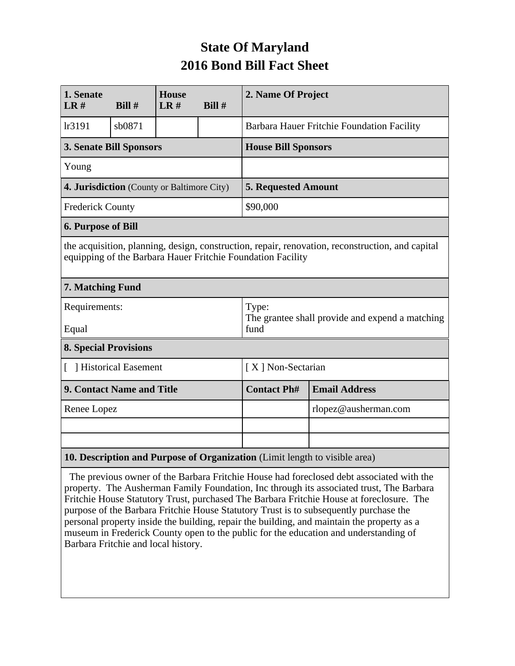## **State Of Maryland 2016 Bond Bill Fact Sheet**

| 1. Senate<br>LR#                                                           | Bill#  | <b>House</b><br>LR# | Bill #               | 2. Name Of Project                                                                                                                                              |                      |  |
|----------------------------------------------------------------------------|--------|---------------------|----------------------|-----------------------------------------------------------------------------------------------------------------------------------------------------------------|----------------------|--|
| lr3191                                                                     | sb0871 |                     |                      | Barbara Hauer Fritchie Foundation Facility                                                                                                                      |                      |  |
| <b>3. Senate Bill Sponsors</b>                                             |        |                     |                      | <b>House Bill Sponsors</b>                                                                                                                                      |                      |  |
| Young                                                                      |        |                     |                      |                                                                                                                                                                 |                      |  |
| 4. Jurisdiction (County or Baltimore City)                                 |        |                     |                      | <b>5. Requested Amount</b>                                                                                                                                      |                      |  |
| <b>Frederick County</b>                                                    |        |                     |                      | \$90,000                                                                                                                                                        |                      |  |
| <b>6. Purpose of Bill</b>                                                  |        |                     |                      |                                                                                                                                                                 |                      |  |
|                                                                            |        |                     |                      | the acquisition, planning, design, construction, repair, renovation, reconstruction, and capital<br>equipping of the Barbara Hauer Fritchie Foundation Facility |                      |  |
| 7. Matching Fund                                                           |        |                     |                      |                                                                                                                                                                 |                      |  |
| Requirements:<br>Equal                                                     |        |                     |                      | Type:<br>The grantee shall provide and expend a matching<br>fund                                                                                                |                      |  |
| <b>8. Special Provisions</b>                                               |        |                     |                      |                                                                                                                                                                 |                      |  |
| [ ] Historical Easement                                                    |        |                     |                      | [X] Non-Sectarian                                                                                                                                               |                      |  |
| 9. Contact Name and Title                                                  |        |                     |                      | <b>Contact Ph#</b>                                                                                                                                              | <b>Email Address</b> |  |
| Renee Lopez                                                                |        |                     | rlopez@ausherman.com |                                                                                                                                                                 |                      |  |
|                                                                            |        |                     |                      |                                                                                                                                                                 |                      |  |
|                                                                            |        |                     |                      |                                                                                                                                                                 |                      |  |
| 10. Description and Purpose of Organization (Limit length to visible area) |        |                     |                      |                                                                                                                                                                 |                      |  |

 The previous owner of the Barbara Fritchie House had foreclosed debt associated with the property. The Ausherman Family Foundation, Inc through its associated trust, The Barbara Fritchie House Statutory Trust, purchased The Barbara Fritchie House at foreclosure. The purpose of the Barbara Fritchie House Statutory Trust is to subsequently purchase the personal property inside the building, repair the building, and maintain the property as a museum in Frederick County open to the public for the education and understanding of Barbara Fritchie and local history.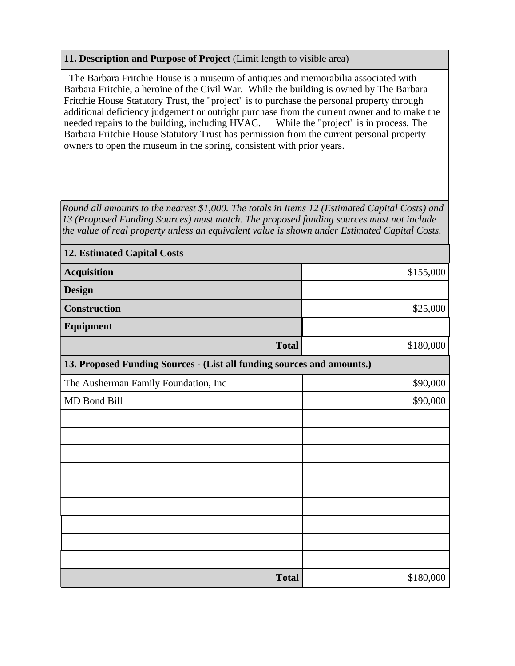## **11. Description and Purpose of Project** (Limit length to visible area)

 The Barbara Fritchie House is a museum of antiques and memorabilia associated with Barbara Fritchie, a heroine of the Civil War. While the building is owned by The Barbara Fritchie House Statutory Trust, the "project" is to purchase the personal property through additional deficiency judgement or outright purchase from the current owner and to make the needed repairs to the building, including HVAC. While the "project" is in process, The Barbara Fritchie House Statutory Trust has permission from the current personal property owners to open the museum in the spring, consistent with prior years.

*Round all amounts to the nearest \$1,000. The totals in Items 12 (Estimated Capital Costs) and 13 (Proposed Funding Sources) must match. The proposed funding sources must not include the value of real property unless an equivalent value is shown under Estimated Capital Costs.*

| <b>12. Estimated Capital Costs</b>                                     |           |  |  |  |  |
|------------------------------------------------------------------------|-----------|--|--|--|--|
| <b>Acquisition</b>                                                     | \$155,000 |  |  |  |  |
| <b>Design</b>                                                          |           |  |  |  |  |
| <b>Construction</b>                                                    | \$25,000  |  |  |  |  |
| Equipment                                                              |           |  |  |  |  |
| <b>Total</b>                                                           | \$180,000 |  |  |  |  |
| 13. Proposed Funding Sources - (List all funding sources and amounts.) |           |  |  |  |  |
| The Ausherman Family Foundation, Inc                                   | \$90,000  |  |  |  |  |
| MD Bond Bill                                                           | \$90,000  |  |  |  |  |
|                                                                        |           |  |  |  |  |
|                                                                        |           |  |  |  |  |
|                                                                        |           |  |  |  |  |
|                                                                        |           |  |  |  |  |
|                                                                        |           |  |  |  |  |
|                                                                        |           |  |  |  |  |
|                                                                        |           |  |  |  |  |
|                                                                        |           |  |  |  |  |
|                                                                        |           |  |  |  |  |
| <b>Total</b>                                                           | \$180,000 |  |  |  |  |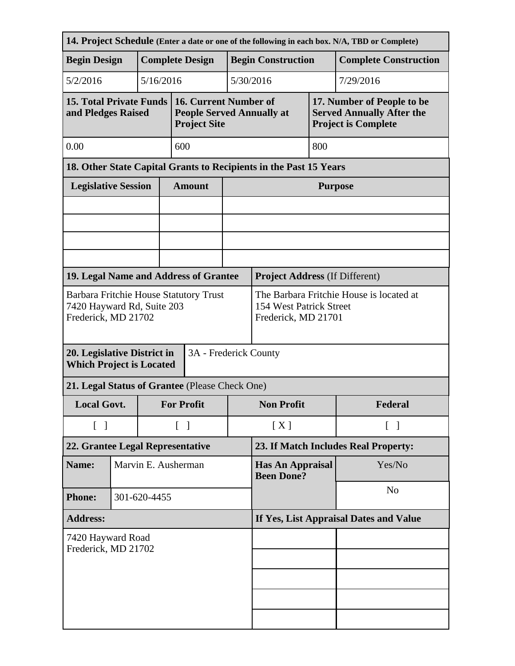| 14. Project Schedule (Enter a date or one of the following in each box. N/A, TBD or Complete) |                     |                        |                                   |                                                                                            |                                        |                                       |                    |                                                                                              |  |
|-----------------------------------------------------------------------------------------------|---------------------|------------------------|-----------------------------------|--------------------------------------------------------------------------------------------|----------------------------------------|---------------------------------------|--------------------|----------------------------------------------------------------------------------------------|--|
| <b>Begin Design</b>                                                                           |                     | <b>Complete Design</b> |                                   |                                                                                            | <b>Begin Construction</b>              |                                       |                    | <b>Complete Construction</b>                                                                 |  |
| 5/2/2016<br>5/16/2016                                                                         |                     |                        |                                   |                                                                                            |                                        | 5/30/2016                             |                    | 7/29/2016                                                                                    |  |
| <b>15. Total Private Funds</b><br>and Pledges Raised                                          |                     |                        |                                   | 16. Current Number of<br><b>People Served Annually at</b><br><b>Project Site</b>           |                                        |                                       |                    | 17. Number of People to be<br><b>Served Annually After the</b><br><b>Project is Complete</b> |  |
| 0.00                                                                                          |                     |                        |                                   | 600                                                                                        |                                        |                                       | 800                |                                                                                              |  |
|                                                                                               |                     |                        |                                   | 18. Other State Capital Grants to Recipients in the Past 15 Years                          |                                        |                                       |                    |                                                                                              |  |
| <b>Legislative Session</b>                                                                    |                     |                        |                                   | <b>Amount</b>                                                                              |                                        | <b>Purpose</b>                        |                    |                                                                                              |  |
|                                                                                               |                     |                        |                                   |                                                                                            |                                        |                                       |                    |                                                                                              |  |
|                                                                                               |                     |                        |                                   |                                                                                            |                                        |                                       |                    |                                                                                              |  |
|                                                                                               |                     |                        |                                   |                                                                                            |                                        |                                       |                    |                                                                                              |  |
|                                                                                               |                     |                        |                                   |                                                                                            |                                        |                                       |                    |                                                                                              |  |
| 19. Legal Name and Address of Grantee                                                         |                     |                        |                                   |                                                                                            |                                        | <b>Project Address (If Different)</b> |                    |                                                                                              |  |
| Barbara Fritchie House Statutory Trust<br>7420 Hayward Rd, Suite 203<br>Frederick, MD 21702   |                     |                        |                                   | The Barbara Fritchie House is located at<br>154 West Patrick Street<br>Frederick, MD 21701 |                                        |                                       |                    |                                                                                              |  |
| 20. Legislative District in<br>3A - Frederick County<br><b>Which Project is Located</b>       |                     |                        |                                   |                                                                                            |                                        |                                       |                    |                                                                                              |  |
| 21. Legal Status of Grantee (Please Check One)                                                |                     |                        |                                   |                                                                                            |                                        |                                       |                    |                                                                                              |  |
| <b>Local Govt.</b>                                                                            |                     |                        | <b>For Profit</b>                 |                                                                                            | <b>Non Profit</b>                      |                                       | Federal            |                                                                                              |  |
| $\begin{bmatrix} 1 \end{bmatrix}$                                                             |                     |                        | $\begin{bmatrix} 1 \end{bmatrix}$ |                                                                                            | [X]                                    |                                       | $\lceil \; \rceil$ |                                                                                              |  |
| 22. Grantee Legal Representative                                                              |                     |                        |                                   |                                                                                            |                                        | 23. If Match Includes Real Property:  |                    |                                                                                              |  |
| Name:                                                                                         | Marvin E. Ausherman |                        |                                   | <b>Has An Appraisal</b><br><b>Been Done?</b>                                               |                                        | Yes/No                                |                    |                                                                                              |  |
| <b>Phone:</b>                                                                                 | 301-620-4455        |                        |                                   |                                                                                            |                                        |                                       | N <sub>0</sub>     |                                                                                              |  |
| <b>Address:</b>                                                                               |                     |                        |                                   |                                                                                            | If Yes, List Appraisal Dates and Value |                                       |                    |                                                                                              |  |
| 7420 Hayward Road<br>Frederick, MD 21702                                                      |                     |                        |                                   |                                                                                            |                                        |                                       |                    |                                                                                              |  |
|                                                                                               |                     |                        |                                   |                                                                                            |                                        |                                       |                    |                                                                                              |  |
|                                                                                               |                     |                        |                                   |                                                                                            |                                        |                                       |                    |                                                                                              |  |
|                                                                                               |                     |                        |                                   |                                                                                            |                                        |                                       |                    |                                                                                              |  |
|                                                                                               |                     |                        |                                   |                                                                                            |                                        |                                       |                    |                                                                                              |  |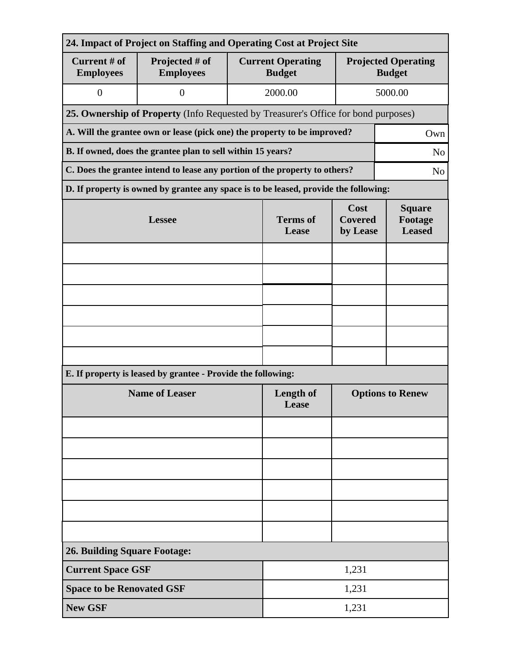| 24. Impact of Project on Staffing and Operating Cost at Project Site                         |                                                                                      |                                                                                    |                                           |                                             |         |  |  |
|----------------------------------------------------------------------------------------------|--------------------------------------------------------------------------------------|------------------------------------------------------------------------------------|-------------------------------------------|---------------------------------------------|---------|--|--|
| Current # of<br><b>Employees</b>                                                             | Projected # of<br><b>Employees</b>                                                   |                                                                                    | <b>Current Operating</b><br><b>Budget</b> | <b>Projected Operating</b><br><b>Budget</b> |         |  |  |
| $\mathbf{0}$                                                                                 | $\overline{0}$                                                                       |                                                                                    |                                           |                                             | 5000.00 |  |  |
|                                                                                              |                                                                                      | 25. Ownership of Property (Info Requested by Treasurer's Office for bond purposes) |                                           |                                             |         |  |  |
|                                                                                              | A. Will the grantee own or lease (pick one) the property to be improved?             |                                                                                    |                                           | Own                                         |         |  |  |
| B. If owned, does the grantee plan to sell within 15 years?                                  |                                                                                      |                                                                                    |                                           |                                             |         |  |  |
| C. Does the grantee intend to lease any portion of the property to others?<br>N <sub>o</sub> |                                                                                      |                                                                                    |                                           |                                             |         |  |  |
|                                                                                              | D. If property is owned by grantee any space is to be leased, provide the following: |                                                                                    |                                           |                                             |         |  |  |
|                                                                                              | <b>Lessee</b>                                                                        | <b>Terms of</b><br>Lease                                                           | Cost<br><b>Covered</b><br>by Lease        | <b>Square</b><br>Footage<br><b>Leased</b>   |         |  |  |
|                                                                                              |                                                                                      |                                                                                    |                                           |                                             |         |  |  |
|                                                                                              |                                                                                      |                                                                                    |                                           |                                             |         |  |  |
|                                                                                              |                                                                                      |                                                                                    |                                           |                                             |         |  |  |
|                                                                                              |                                                                                      |                                                                                    |                                           |                                             |         |  |  |
|                                                                                              |                                                                                      |                                                                                    |                                           |                                             |         |  |  |
|                                                                                              |                                                                                      |                                                                                    |                                           |                                             |         |  |  |
|                                                                                              | E. If property is leased by grantee - Provide the following:                         |                                                                                    |                                           |                                             |         |  |  |
|                                                                                              | <b>Name of Leaser</b>                                                                | <b>Length of</b><br>Lease                                                          | <b>Options to Renew</b>                   |                                             |         |  |  |
|                                                                                              |                                                                                      |                                                                                    |                                           |                                             |         |  |  |
|                                                                                              |                                                                                      |                                                                                    |                                           |                                             |         |  |  |
|                                                                                              |                                                                                      |                                                                                    |                                           |                                             |         |  |  |
|                                                                                              |                                                                                      |                                                                                    |                                           |                                             |         |  |  |
|                                                                                              |                                                                                      |                                                                                    |                                           |                                             |         |  |  |
|                                                                                              |                                                                                      |                                                                                    |                                           |                                             |         |  |  |
| <b>26. Building Square Footage:</b>                                                          |                                                                                      |                                                                                    |                                           |                                             |         |  |  |
| <b>Current Space GSF</b>                                                                     |                                                                                      | 1,231                                                                              |                                           |                                             |         |  |  |
| <b>Space to be Renovated GSF</b>                                                             |                                                                                      | 1,231                                                                              |                                           |                                             |         |  |  |
| <b>New GSF</b>                                                                               |                                                                                      | 1,231                                                                              |                                           |                                             |         |  |  |